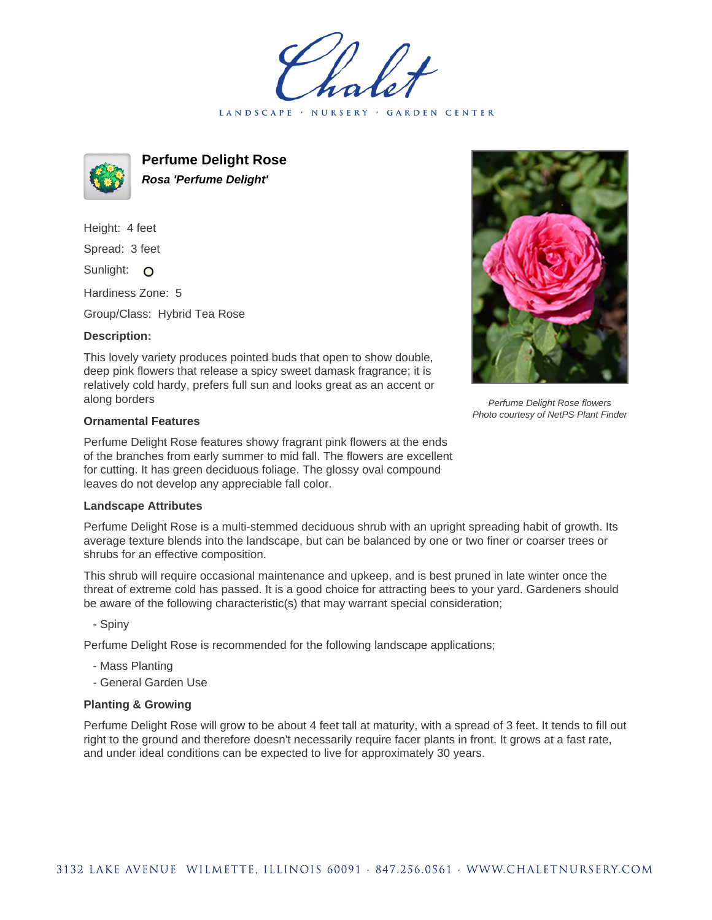LANDSCAPE · NURSERY · GARDEN CENTER



**Perfume Delight Rose Rosa 'Perfume Delight'**

Height: 4 feet Spread: 3 feet Sunlight: O

Hardiness Zone: 5

Group/Class: Hybrid Tea Rose

## **Description:**

This lovely variety produces pointed buds that open to show double, deep pink flowers that release a spicy sweet damask fragrance; it is relatively cold hardy, prefers full sun and looks great as an accent or along borders

## **Ornamental Features**

Perfume Delight Rose features showy fragrant pink flowers at the ends of the branches from early summer to mid fall. The flowers are excellent for cutting. It has green deciduous foliage. The glossy oval compound leaves do not develop any appreciable fall color.

## **Landscape Attributes**

Perfume Delight Rose is a multi-stemmed deciduous shrub with an upright spreading habit of growth. Its average texture blends into the landscape, but can be balanced by one or two finer or coarser trees or shrubs for an effective composition.

This shrub will require occasional maintenance and upkeep, and is best pruned in late winter once the threat of extreme cold has passed. It is a good choice for attracting bees to your yard. Gardeners should be aware of the following characteristic(s) that may warrant special consideration;

- Spiny

Perfume Delight Rose is recommended for the following landscape applications;

- Mass Planting
- General Garden Use

## **Planting & Growing**

Perfume Delight Rose will grow to be about 4 feet tall at maturity, with a spread of 3 feet. It tends to fill out right to the ground and therefore doesn't necessarily require facer plants in front. It grows at a fast rate, and under ideal conditions can be expected to live for approximately 30 years.



Perfume Delight Rose flowers Photo courtesy of NetPS Plant Finder